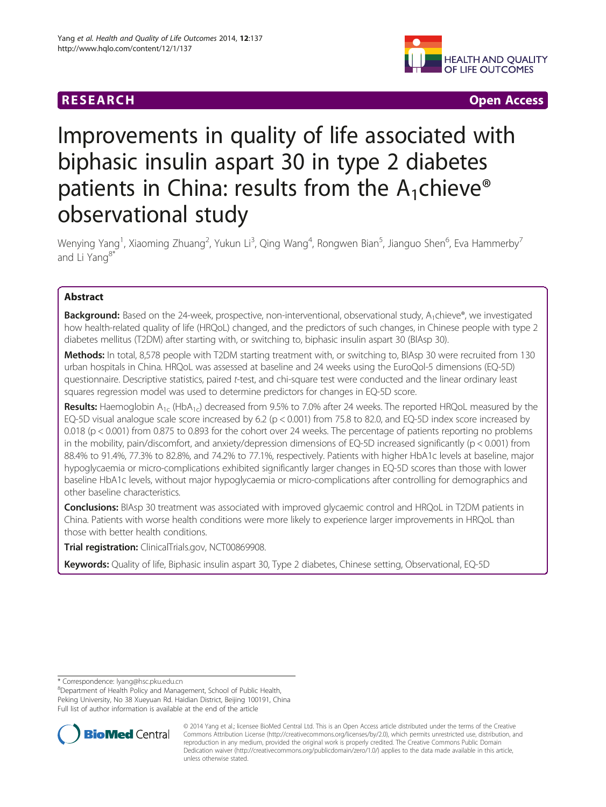

R E S EAR CH Open Access

# Improvements in quality of life associated with biphasic insulin aspart 30 in type 2 diabetes patients in China: results from the  $A_1$ chieve® observational study

Wenying Yang<sup>1</sup>, Xiaoming Zhuang<sup>2</sup>, Yukun Li<sup>3</sup>, Qing Wang<sup>4</sup>, Rongwen Bian<sup>5</sup>, Jianguo Shen<sup>6</sup>, Eva Hammerby<sup>7</sup> and Li Yang<sup>8\*</sup>

# Abstract

Background: Based on the 24-week, prospective, non-interventional, observational study, A<sub>1</sub>chieve®, we investigated how health-related quality of life (HRQoL) changed, and the predictors of such changes, in Chinese people with type 2 diabetes mellitus (T2DM) after starting with, or switching to, biphasic insulin aspart 30 (BIAsp 30).

Methods: In total, 8,578 people with T2DM starting treatment with, or switching to, BIAsp 30 were recruited from 130 urban hospitals in China. HRQoL was assessed at baseline and 24 weeks using the EuroQol-5 dimensions (EQ-5D) questionnaire. Descriptive statistics, paired t-test, and chi-square test were conducted and the linear ordinary least squares regression model was used to determine predictors for changes in EQ-5D score.

**Results:** Haemoglobin  $A_{1c}$  (Hb $A_{1c}$ ) decreased from 9.5% to 7.0% after 24 weeks. The reported HRQoL measured by the EQ-5D visual analogue scale score increased by 6.2 (p < 0.001) from 75.8 to 82.0, and EQ-5D index score increased by 0.018 (p < 0.001) from 0.875 to 0.893 for the cohort over 24 weeks. The percentage of patients reporting no problems in the mobility, pain/discomfort, and anxiety/depression dimensions of EQ-5D increased significantly (p < 0.001) from 88.4% to 91.4%, 77.3% to 82.8%, and 74.2% to 77.1%, respectively. Patients with higher HbA1c levels at baseline, major hypoglycaemia or micro-complications exhibited significantly larger changes in EQ-5D scores than those with lower baseline HbA1c levels, without major hypoglycaemia or micro-complications after controlling for demographics and other baseline characteristics.

**Conclusions:** BIAsp 30 treatment was associated with improved glycaemic control and HRQoL in T2DM patients in China. Patients with worse health conditions were more likely to experience larger improvements in HRQoL than those with better health conditions.

Trial registration: ClinicalTrials.gov, [NCT00869908.](http://www.clinicaltrials.gov/ct2/show/NCT00869908?term=NCT00869908.&rank=1)

Keywords: Quality of life, Biphasic insulin aspart 30, Type 2 diabetes, Chinese setting, Observational, EQ-5D

\* Correspondence: [lyang@hsc.pku.edu.cn](mailto:lyang@hsc.pku.edu.cn) <sup>8</sup>

<sup>8</sup>Department of Health Policy and Management, School of Public Health, Peking University, No 38 Xueyuan Rd. Haidian District, Beijing 100191, China Full list of author information is available at the end of the article



<sup>© 2014</sup> Yang et al.; licensee BioMed Central Ltd. This is an Open Access article distributed under the terms of the Creative Commons Attribution License [\(http://creativecommons.org/licenses/by/2.0\)](http://creativecommons.org/licenses/by/2.0), which permits unrestricted use, distribution, and reproduction in any medium, provided the original work is properly credited. The Creative Commons Public Domain Dedication waiver [\(http://creativecommons.org/publicdomain/zero/1.0/](http://creativecommons.org/publicdomain/zero/1.0/)) applies to the data made available in this article, unless otherwise stated.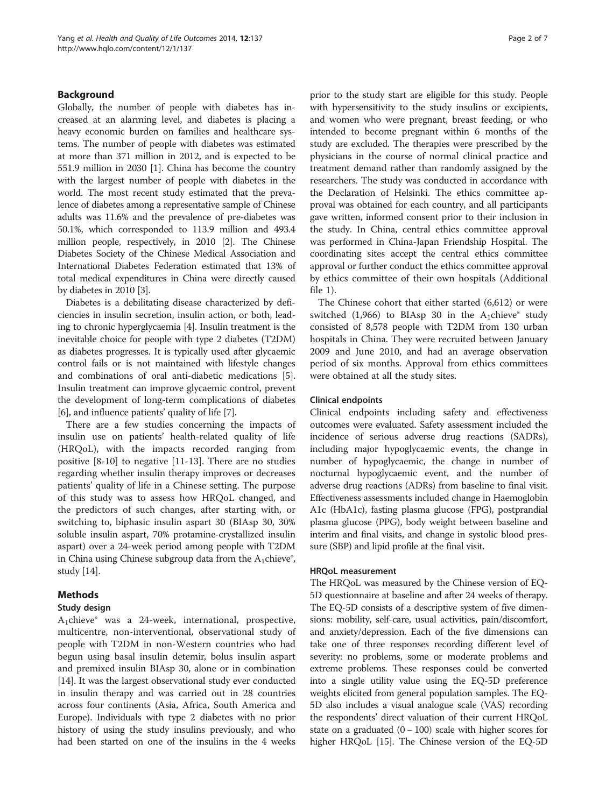## Background

Globally, the number of people with diabetes has increased at an alarming level, and diabetes is placing a heavy economic burden on families and healthcare systems. The number of people with diabetes was estimated at more than 371 million in 2012, and is expected to be 551.9 million in 2030 [[1\]](#page-5-0). China has become the country with the largest number of people with diabetes in the world. The most recent study estimated that the prevalence of diabetes among a representative sample of Chinese adults was 11.6% and the prevalence of pre-diabetes was 50.1%, which corresponded to 113.9 million and 493.4 million people, respectively, in 2010 [\[2\]](#page-5-0). The Chinese Diabetes Society of the Chinese Medical Association and International Diabetes Federation estimated that 13% of total medical expenditures in China were directly caused by diabetes in 2010 [\[3\]](#page-5-0).

Diabetes is a debilitating disease characterized by deficiencies in insulin secretion, insulin action, or both, leading to chronic hyperglycaemia [[4](#page-5-0)]. Insulin treatment is the inevitable choice for people with type 2 diabetes (T2DM) as diabetes progresses. It is typically used after glycaemic control fails or is not maintained with lifestyle changes and combinations of oral anti-diabetic medications [[5](#page-5-0)]. Insulin treatment can improve glycaemic control, prevent the development of long-term complications of diabetes [[6\]](#page-5-0), and influence patients' quality of life [[7\]](#page-5-0).

There are a few studies concerning the impacts of insulin use on patients' health-related quality of life (HRQoL), with the impacts recorded ranging from positive [[8-10](#page-5-0)] to negative [\[11](#page-5-0)[-13](#page-6-0)]. There are no studies regarding whether insulin therapy improves or decreases patients' quality of life in a Chinese setting. The purpose of this study was to assess how HRQoL changed, and the predictors of such changes, after starting with, or switching to, biphasic insulin aspart 30 (BIAsp 30, 30% soluble insulin aspart, 70% protamine-crystallized insulin aspart) over a 24-week period among people with T2DM in China using Chinese subgroup data from the  $A_1$ chieve $\degree$ , study [[14](#page-6-0)].

#### Methods

#### Study design

 $A_1$ chieve $\degree$  was a 24-week, international, prospective, multicentre, non-interventional, observational study of people with T2DM in non-Western countries who had begun using basal insulin detemir, bolus insulin aspart and premixed insulin BIAsp 30, alone or in combination [[14](#page-6-0)]. It was the largest observational study ever conducted in insulin therapy and was carried out in 28 countries across four continents (Asia, Africa, South America and Europe). Individuals with type 2 diabetes with no prior history of using the study insulins previously, and who had been started on one of the insulins in the 4 weeks

prior to the study start are eligible for this study. People with hypersensitivity to the study insulins or excipients, and women who were pregnant, breast feeding, or who intended to become pregnant within 6 months of the study are excluded. The therapies were prescribed by the physicians in the course of normal clinical practice and treatment demand rather than randomly assigned by the researchers. The study was conducted in accordance with the Declaration of Helsinki. The ethics committee approval was obtained for each country, and all participants gave written, informed consent prior to their inclusion in the study. In China, central ethics committee approval was performed in China-Japan Friendship Hospital. The coordinating sites accept the central ethics committee approval or further conduct the ethics committee approval by ethics committee of their own hospitals (Additional file [1](#page-5-0)).

The Chinese cohort that either started (6,612) or were switched (1,966) to BIAsp 30 in the  $A_1$ chieve® study consisted of 8,578 people with T2DM from 130 urban hospitals in China. They were recruited between January 2009 and June 2010, and had an average observation period of six months. Approval from ethics committees were obtained at all the study sites.

#### Clinical endpoints

Clinical endpoints including safety and effectiveness outcomes were evaluated. Safety assessment included the incidence of serious adverse drug reactions (SADRs), including major hypoglycaemic events, the change in number of hypoglycaemic, the change in number of nocturnal hypoglycaemic event, and the number of adverse drug reactions (ADRs) from baseline to final visit. Effectiveness assessments included change in Haemoglobin A1c (HbA1c), fasting plasma glucose (FPG), postprandial plasma glucose (PPG), body weight between baseline and interim and final visits, and change in systolic blood pressure (SBP) and lipid profile at the final visit.

#### HRQoL measurement

The HRQoL was measured by the Chinese version of EQ-5D questionnaire at baseline and after 24 weeks of therapy. The EQ-5D consists of a descriptive system of five dimensions: mobility, self-care, usual activities, pain/discomfort, and anxiety/depression. Each of the five dimensions can take one of three responses recording different level of severity: no problems, some or moderate problems and extreme problems. These responses could be converted into a single utility value using the EQ-5D preference weights elicited from general population samples. The EQ-5D also includes a visual analogue scale (VAS) recording the respondents' direct valuation of their current HRQoL state on a graduated  $(0 - 100)$  scale with higher scores for higher HRQoL [\[15\]](#page-6-0). The Chinese version of the EQ-5D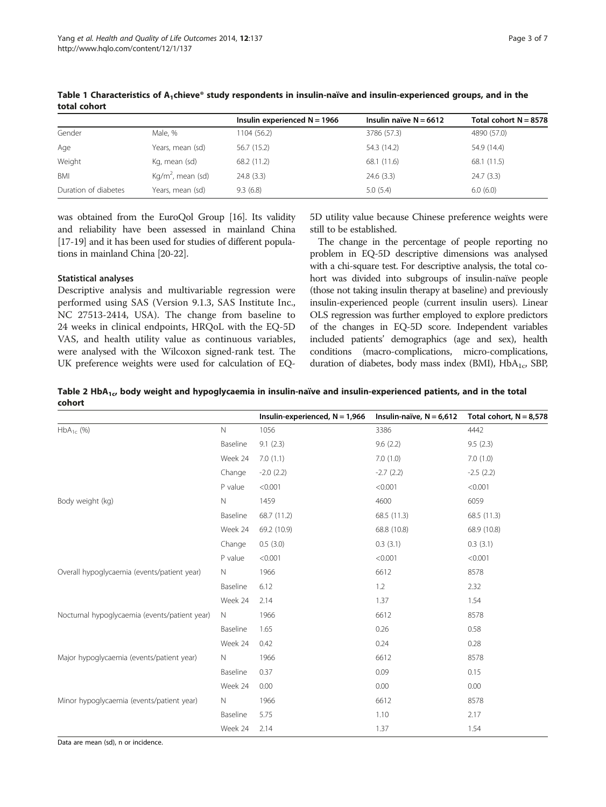|                      |                               | Insulin experienced $N = 1966$ | Insulin naïve $N = 6612$ | Total cohort $N = 8578$ |
|----------------------|-------------------------------|--------------------------------|--------------------------|-------------------------|
| Gender               | Male, %                       | 1104 (56.2)                    | 3786 (57.3)              | 4890 (57.0)             |
| Age                  | Years, mean (sd)              | 56.7 (15.2)                    | 54.3 (14.2)              | 54.9 (14.4)             |
| Weight               | Kg, mean (sd)                 | 68.2 (11.2)                    | 68.1 (11.6)              | 68.1 (11.5)             |
| BMI                  | Kg/m <sup>2</sup> , mean (sd) | 24.8(3.3)                      | 24.6(3.3)                | 24.7(3.3)               |
| Duration of diabetes | Years, mean (sd)              | 9.3(6.8)                       | 5.0(5.4)                 | 6.0(6.0)                |

<span id="page-2-0"></span>Table 1 Characteristics of  $A_1$ chieve® study respondents in insulin-naïve and insulin-experienced groups, and in the total cohort

was obtained from the EuroQol Group [\[16\]](#page-6-0). Its validity and reliability have been assessed in mainland China [[17](#page-6-0)-[19](#page-6-0)] and it has been used for studies of different populations in mainland China [[20](#page-6-0)-[22](#page-6-0)].

#### Statistical analyses

Descriptive analysis and multivariable regression were performed using SAS (Version 9.1.3, SAS Institute Inc., NC 27513-2414, USA). The change from baseline to 24 weeks in clinical endpoints, HRQoL with the EQ-5D VAS, and health utility value as continuous variables, were analysed with the Wilcoxon signed-rank test. The UK preference weights were used for calculation of EQ-

5D utility value because Chinese preference weights were still to be established.

The change in the percentage of people reporting no problem in EQ-5D descriptive dimensions was analysed with a chi-square test. For descriptive analysis, the total cohort was divided into subgroups of insulin-naïve people (those not taking insulin therapy at baseline) and previously insulin-experienced people (current insulin users). Linear OLS regression was further employed to explore predictors of the changes in EQ-5D score. Independent variables included patients' demographics (age and sex), health conditions (macro-complications, micro-complications, duration of diabetes, body mass index (BMI),  $HbA_{1c}$ , SBP,

Table 2 HbA<sub>1c</sub>, body weight and hypoglycaemia in insulin-naïve and insulin-experienced patients, and in the total cohort

|                                               |              | Insulin-experienced, $N = 1,966$ | Insulin-naïve, $N = 6,612$ | Total cohort, $N = 8,578$ |
|-----------------------------------------------|--------------|----------------------------------|----------------------------|---------------------------|
| $HbA_{1c}$ (%)                                | $\mathsf{N}$ | 1056                             | 3386                       | 4442                      |
|                                               | Baseline     | 9.1(2.3)                         | 9.6(2.2)                   | 9.5(2.3)                  |
|                                               | Week 24      | 7.0(1.1)                         | 7.0(1.0)                   | 7.0(1.0)                  |
|                                               | Change       | $-2.0(2.2)$                      | $-2.7(2.2)$                | $-2.5(2.2)$               |
|                                               | P value      | < 0.001                          | < 0.001                    | < 0.001                   |
| Body weight (kg)                              | $\mathbb N$  | 1459                             | 4600                       | 6059                      |
|                                               | Baseline     | 68.7 (11.2)                      | 68.5 (11.3)                | 68.5 (11.3)               |
|                                               | Week 24      | 69.2 (10.9)                      | 68.8 (10.8)                | 68.9 (10.8)               |
|                                               | Change       | 0.5(3.0)                         | 0.3(3.1)                   | 0.3(3.1)                  |
|                                               | P value      | < 0.001                          | < 0.001                    | < 0.001                   |
| Overall hypoglycaemia (events/patient year)   | N.           | 1966                             | 6612                       | 8578                      |
|                                               | Baseline     | 6.12                             | 1.2                        | 2.32                      |
|                                               | Week 24      | 2.14                             | 1.37                       | 1.54                      |
| Nocturnal hypoglycaemia (events/patient year) | $\mathbb N$  | 1966                             | 6612                       | 8578                      |
|                                               | Baseline     | 1.65                             | 0.26                       | 0.58                      |
|                                               | Week 24      | 0.42                             | 0.24                       | 0.28                      |
| Major hypoglycaemia (events/patient year)     | $\mathbb N$  | 1966                             | 6612                       | 8578                      |
|                                               | Baseline     | 0.37                             | 0.09                       | 0.15                      |
|                                               | Week 24      | 0.00                             | 0.00                       | 0.00                      |
| Minor hypoglycaemia (events/patient year)     | N            | 1966                             | 6612                       | 8578                      |
|                                               | Baseline     | 5.75                             | 1.10                       | 2.17                      |
|                                               | Week 24      | 2.14                             | 1.37                       | 1.54                      |

Data are mean (sd), n or incidence.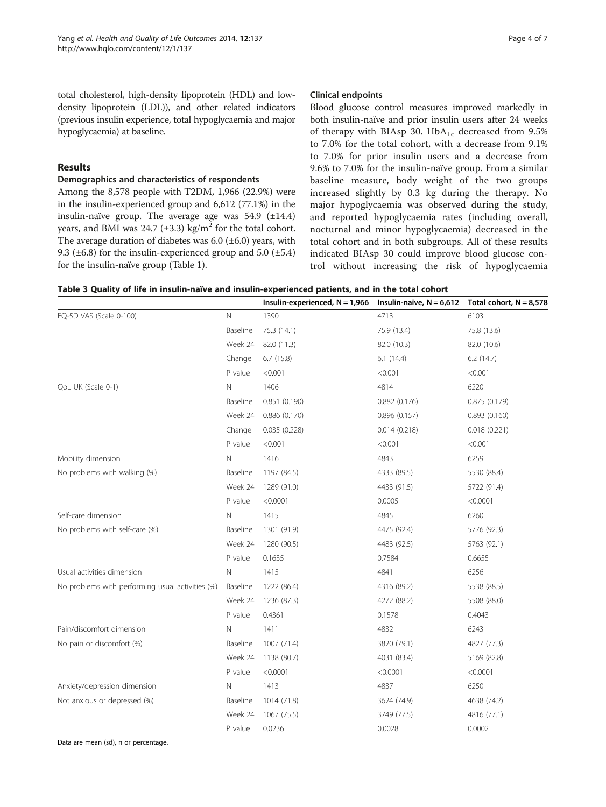<span id="page-3-0"></span>total cholesterol, high-density lipoprotein (HDL) and lowdensity lipoprotein (LDL)), and other related indicators (previous insulin experience, total hypoglycaemia and major hypoglycaemia) at baseline.

# Results

#### Demographics and characteristics of respondents

Among the 8,578 people with T2DM, 1,966 (22.9%) were in the insulin-experienced group and 6,612 (77.1%) in the insulin-naïve group. The average age was 54.9 (±14.4) years, and BMI was  $24.7$  ( $\pm 3.3$ ) kg/m<sup>2</sup> for the total cohort. The average duration of diabetes was  $6.0$  ( $\pm 6.0$ ) years, with 9.3 ( $\pm$ 6.8) for the insulin-experienced group and 5.0 ( $\pm$ 5.4) for the insulin-naïve group (Table [1](#page-2-0)).

#### Clinical endpoints

Blood glucose control measures improved markedly in both insulin-naïve and prior insulin users after 24 weeks of therapy with BIAsp 30.  $HbA_{1c}$  decreased from 9.5% to 7.0% for the total cohort, with a decrease from 9.1% to 7.0% for prior insulin users and a decrease from 9.6% to 7.0% for the insulin-naïve group. From a similar baseline measure, body weight of the two groups increased slightly by 0.3 kg during the therapy. No major hypoglycaemia was observed during the study, and reported hypoglycaemia rates (including overall, nocturnal and minor hypoglycaemia) decreased in the total cohort and in both subgroups. All of these results indicated BIAsp 30 could improve blood glucose control without increasing the risk of hypoglycaemia

| Table 3 Quality of life in insulin-naïve and insulin-experienced patients, and in the total cohort |  |
|----------------------------------------------------------------------------------------------------|--|
|----------------------------------------------------------------------------------------------------|--|

|                                                  |            | Insulin-experienced, $N = 1,966$ Insulin-naïve, $N = 6,612$ Total cohort, $N = 8,578$ |              |              |
|--------------------------------------------------|------------|---------------------------------------------------------------------------------------|--------------|--------------|
| EQ-5D VAS (Scale 0-100)                          | N          | 1390                                                                                  | 4713         | 6103         |
|                                                  | Baseline   | 75.3 (14.1)                                                                           | 75.9 (13.4)  | 75.8 (13.6)  |
|                                                  | Week 24    | 82.0 (11.3)                                                                           | 82.0 (10.3)  | 82.0 (10.6)  |
|                                                  | Change     | 6.7(15.8)                                                                             | 6.1(14.4)    | 6.2(14.7)    |
|                                                  | P value    | < 0.001                                                                               | < 0.001      | < 0.001      |
| QoL UK (Scale 0-1)                               | N          | 1406                                                                                  | 4814         | 6220         |
|                                                  | Baseline   | 0.851(0.190)                                                                          | 0.882(0.176) | 0.875(0.179) |
|                                                  | Week 24    | 0.886(0.170)                                                                          | 0.896(0.157) | 0.893(0.160) |
|                                                  | Change     | 0.035(0.228)                                                                          | 0.014(0.218) | 0.018(0.221) |
|                                                  | P value    | < 0.001                                                                               | < 0.001      | < 0.001      |
| Mobility dimension                               | Ν          | 1416                                                                                  | 4843         | 6259         |
| No problems with walking (%)                     | Baseline   | 1197 (84.5)                                                                           | 4333 (89.5)  | 5530 (88.4)  |
|                                                  | Week 24    | 1289 (91.0)                                                                           | 4433 (91.5)  | 5722 (91.4)  |
|                                                  | P value    | < 0.0001                                                                              | 0.0005       | < 0.0001     |
| Self-care dimension                              | Ν          | 1415                                                                                  | 4845         | 6260         |
| No problems with self-care (%)                   | Baseline   | 1301 (91.9)                                                                           | 4475 (92.4)  | 5776 (92.3)  |
|                                                  | Week 24    | 1280 (90.5)                                                                           | 4483 (92.5)  | 5763 (92.1)  |
|                                                  | P value    | 0.1635                                                                                | 0.7584       | 0.6655       |
| Usual activities dimension                       | N          | 1415                                                                                  | 4841         | 6256         |
| No problems with performing usual activities (%) | Baseline   | 1222 (86.4)                                                                           | 4316 (89.2)  | 5538 (88.5)  |
|                                                  | Week 24    | 1236 (87.3)                                                                           | 4272 (88.2)  | 5508 (88.0)  |
|                                                  | P value    | 0.4361                                                                                | 0.1578       | 0.4043       |
| Pain/discomfort dimension                        | Ν          | 1411                                                                                  | 4832         | 6243         |
| No pain or discomfort (%)                        | Baseline   | 1007 (71.4)                                                                           | 3820 (79.1)  | 4827 (77.3)  |
|                                                  | Week 24    | 1138 (80.7)                                                                           | 4031 (83.4)  | 5169 (82.8)  |
|                                                  | P value    | < 0.0001                                                                              | < 0.0001     | < 0.0001     |
| Anxiety/depression dimension                     | $\hbox{N}$ | 1413                                                                                  | 4837         | 6250         |
| Not anxious or depressed (%)                     | Baseline   | 1014 (71.8)                                                                           | 3624 (74.9)  | 4638 (74.2)  |
|                                                  | Week 24    | 1067 (75.5)                                                                           | 3749 (77.5)  | 4816 (77.1)  |
|                                                  | P value    | 0.0236                                                                                | 0.0028       | 0.0002       |

Data are mean (sd), n or percentage.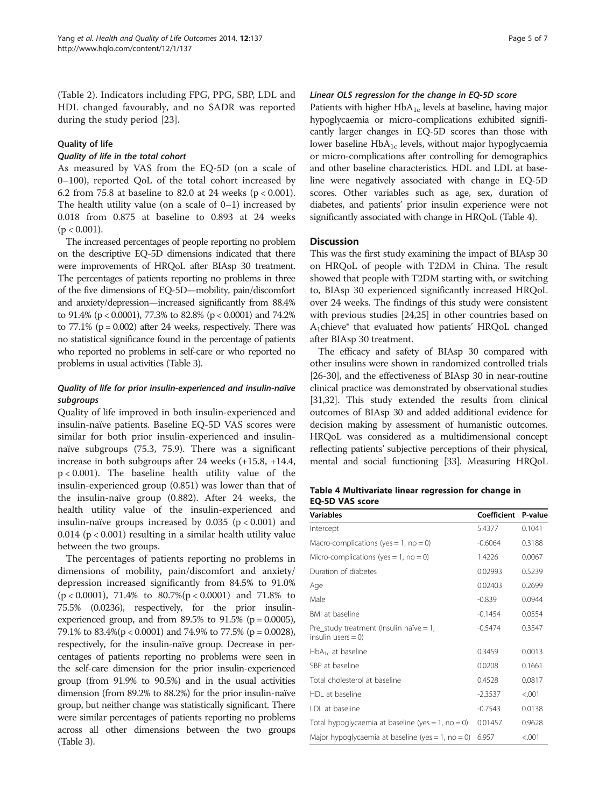(Table [2\)](#page-2-0). Indicators including FPG, PPG, SBP, LDL and HDL changed favourably, and no SADR was reported during the study period [\[23](#page-6-0)].

# Quality of life

# Quality of life in the total cohort

As measured by VAS from the EQ-5D (on a scale of 0–100), reported QoL of the total cohort increased by 6.2 from 75.8 at baseline to 82.0 at 24 weeks ( $p < 0.001$ ). The health utility value (on a scale of  $0-1$ ) increased by 0.018 from 0.875 at baseline to 0.893 at 24 weeks  $(p < 0.001)$ .

The increased percentages of people reporting no problem on the descriptive EQ-5D dimensions indicated that there were improvements of HRQoL after BIAsp 30 treatment. The percentages of patients reporting no problems in three of the five dimensions of EQ-5D—mobility, pain/discomfort and anxiety/depression—increased significantly from 88.4% to 91.4% (p < 0.0001), 77.3% to 82.8% (p < 0.0001) and 74.2% to  $77.1\%$  ( $p = 0.002$ ) after 24 weeks, respectively. There was no statistical significance found in the percentage of patients who reported no problems in self-care or who reported no problems in usual activities (Table [3](#page-3-0)).

# Quality of life for prior insulin-experienced and insulin-naïve subgroups

Quality of life improved in both insulin-experienced and insulin-naïve patients. Baseline EQ-5D VAS scores were similar for both prior insulin-experienced and insulinnaïve subgroups (75.3, 75.9). There was a significant increase in both subgroups after 24 weeks (+15.8, +14.4, p < 0.001). The baseline health utility value of the insulin-experienced group (0.851) was lower than that of the insulin-naïve group (0.882). After 24 weeks, the health utility value of the insulin-experienced and insulin-naïve groups increased by  $0.035$  ( $p < 0.001$ ) and 0.014 ( $p < 0.001$ ) resulting in a similar health utility value between the two groups.

The percentages of patients reporting no problems in dimensions of mobility, pain/discomfort and anxiety/ depression increased significantly from 84.5% to 91.0%  $(p < 0.0001)$ , 71.4% to 80.7% $(p < 0.0001)$  and 71.8% to 75.5% (0.0236), respectively, for the prior insulinexperienced group, and from 89.5% to 91.5% ( $p = 0.0005$ ), 79.1% to 83.4%(p < 0.0001) and 74.9% to 77.5% (p = 0.0028), respectively, for the insulin-naïve group. Decrease in percentages of patients reporting no problems were seen in the self-care dimension for the prior insulin-experienced group (from 91.9% to 90.5%) and in the usual activities dimension (from 89.2% to 88.2%) for the prior insulin-naïve group, but neither change was statistically significant. There were similar percentages of patients reporting no problems across all other dimensions between the two groups (Table [3](#page-3-0)).

# Linear OLS regression for the change in EQ-5D score

Patients with higher  $HbA_{1c}$  levels at baseline, having major hypoglycaemia or micro-complications exhibited significantly larger changes in EQ-5D scores than those with lower baseline  $HbA_{1c}$  levels, without major hypoglycaemia or micro-complications after controlling for demographics and other baseline characteristics. HDL and LDL at baseline were negatively associated with change in EQ-5D scores. Other variables such as age, sex, duration of diabetes, and patients' prior insulin experience were not significantly associated with change in HRQoL (Table 4).

# **Discussion**

This was the first study examining the impact of BIAsp 30 on HRQoL of people with T2DM in China. The result showed that people with T2DM starting with, or switching to, BIAsp 30 experienced significantly increased HRQoL over 24 weeks. The findings of this study were consistent with previous studies [\[24,25\]](#page-6-0) in other countries based on A1chieve® that evaluated how patients' HRQoL changed after BIAsp 30 treatment.

The efficacy and safety of BIAsp 30 compared with other insulins were shown in randomized controlled trials [[26](#page-6-0)-[30\]](#page-6-0), and the effectiveness of BIAsp 30 in near-routine clinical practice was demonstrated by observational studies [[31,32\]](#page-6-0). This study extended the results from clinical outcomes of BIAsp 30 and added additional evidence for decision making by assessment of humanistic outcomes. HRQoL was considered as a multidimensional concept reflecting patients' subjective perceptions of their physical, mental and social functioning [\[33\]](#page-6-0). Measuring HRQoL

Table 4 Multivariate linear regression for change in EQ-5D VAS score

| <b>Variables</b>                                                 | Coefficient P-value |         |
|------------------------------------------------------------------|---------------------|---------|
| Intercept                                                        | 5.4377              | 0.1041  |
| Macro-complications (yes = 1, no = 0)                            | $-0.6064$           | 0.3188  |
| Micro-complications (yes = 1, no = 0)                            | 1.4226              | 0.0067  |
| Duration of diabetes                                             | 0.02993             | 0.5239  |
| Age                                                              | 0.02403             | 0.2699  |
| Male                                                             | $-0.839$            | 0.0944  |
| BMI at baseline                                                  | $-0.1454$           | 0.0554  |
| Pre_study treatment (Insulin naïve = 1,<br>insulin users $= 0$ ) | $-0.5474$           | 0.3547  |
| $HbA_{1c}$ at baseline                                           | 0.3459              | 0.0013  |
| SBP at baseline                                                  | 0.0208              | 0.1661  |
| Total cholesterol at baseline                                    | 0.4528              | 0.0817  |
| HDL at baseline                                                  | $-2.3537$           | < 0.01  |
| IDI at baseline                                                  | $-0.7543$           | 0.0138  |
| Total hypoglycaemia at baseline (yes = 1, no = 0)                | 0.01457             | 0.9628  |
| Major hypoglycaemia at baseline (yes = 1, no = 0)                | 6.957               | < 0.001 |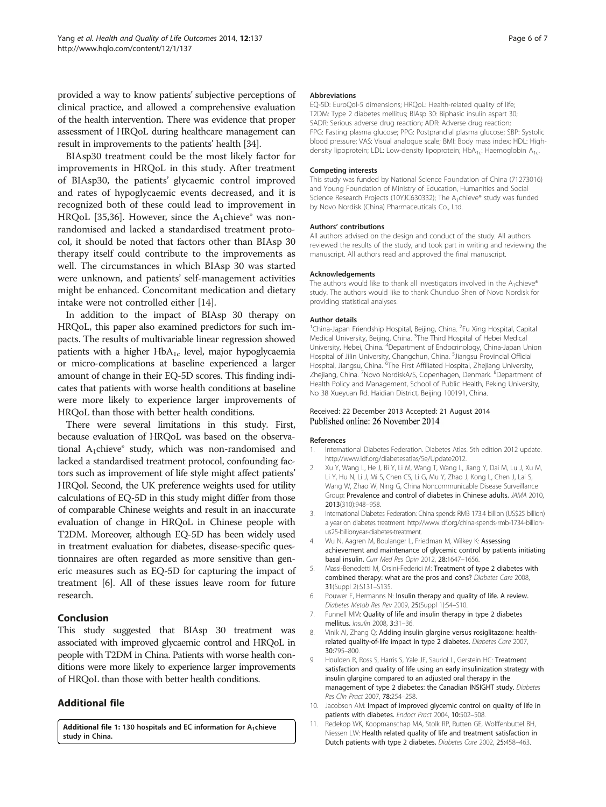<span id="page-5-0"></span>provided a way to know patients' subjective perceptions of clinical practice, and allowed a comprehensive evaluation of the health intervention. There was evidence that proper assessment of HRQoL during healthcare management can result in improvements to the patients' health [\[34\]](#page-6-0).

BIAsp30 treatment could be the most likely factor for improvements in HRQoL in this study. After treatment of BIAsp30, the patients' glycaemic control improved and rates of hypoglycaemic events decreased, and it is recognized both of these could lead to improvement in HRQoL [[35,36](#page-6-0)]. However, since the  $A_1$ chieve® was nonrandomised and lacked a standardised treatment protocol, it should be noted that factors other than BIAsp 30 therapy itself could contribute to the improvements as well. The circumstances in which BIAsp 30 was started were unknown, and patients' self-management activities might be enhanced. Concomitant medication and dietary intake were not controlled either [[14](#page-6-0)].

In addition to the impact of BIAsp 30 therapy on HRQoL, this paper also examined predictors for such impacts. The results of multivariable linear regression showed patients with a higher  $HbA_{1c}$  level, major hypoglycaemia or micro-complications at baseline experienced a larger amount of change in their EQ-5D scores. This finding indicates that patients with worse health conditions at baseline were more likely to experience larger improvements of HRQoL than those with better health conditions.

There were several limitations in this study. First, because evaluation of HRQoL was based on the observational A1chieve® study, which was non-randomised and lacked a standardised treatment protocol, confounding factors such as improvement of life style might affect patients' HRQol. Second, the UK preference weights used for utility calculations of EQ-5D in this study might differ from those of comparable Chinese weights and result in an inaccurate evaluation of change in HRQoL in Chinese people with T2DM. Moreover, although EQ-5D has been widely used in treatment evaluation for diabetes, disease-specific questionnaires are often regarded as more sensitive than generic measures such as EQ-5D for capturing the impact of treatment [6]. All of these issues leave room for future research.

# Conclusion

This study suggested that BIAsp 30 treatment was associated with improved glycaemic control and HRQoL in people with T2DM in China. Patients with worse health conditions were more likely to experience larger improvements of HRQoL than those with better health conditions.

# Additional file

[Additional file 1:](http://www.hqlo.com/content/supplementary/s12955-014-0137-9-s1.doc) 130 hospitals and EC information for  $A_1$ chieve study in China.

#### Abbreviations

EQ-5D: EuroQol-5 dimensions; HRQoL: Health-related quality of life; T2DM: Type 2 diabetes mellitus; BIAsp 30: Biphasic insulin aspart 30; SADR: Serious adverse drug reaction; ADR: Adverse drug reaction; FPG: Fasting plasma glucose; PPG: Postprandial plasma glucose; SBP: Systolic blood pressure; VAS: Visual analogue scale; BMI: Body mass index; HDL: Highdensity lipoprotein; LDL: Low-density lipoprotein; HbA<sub>1c</sub>: Haemoglobin A<sub>1c</sub>.

#### Competing interests

This study was funded by National Science Foundation of China (71273016) and Young Foundation of Ministry of Education, Humanities and Social Science Research Projects (10YJC630332); The A<sub>1</sub>chieve® study was funded by Novo Nordisk (China) Pharmaceuticals Co., Ltd.

#### Authors' contributions

All authors advised on the design and conduct of the study. All authors reviewed the results of the study, and took part in writing and reviewing the manuscript. All authors read and approved the final manuscript.

#### Acknowledgements

The authors would like to thank all investigators involved in the  $A_1$ chieve® study. The authors would like to thank Chunduo Shen of Novo Nordisk for providing statistical analyses.

#### Author details

<sup>1</sup>China-Japan Friendship Hospital, Beijing, China. <sup>2</sup>Fu Xing Hospital, Capital Medical University, Beijing, China. <sup>3</sup>The Third Hospital of Hebei Medical University, Hebei, China. <sup>4</sup>Department of Endocrinology, China-Japan Union Hospital of Jilin University, Changchun, China. <sup>5</sup>Jiangsu Provincial Official Hospital, Jiangsu, China. <sup>6</sup>The First Affiliated Hospital, Zhejiang University Zhejiang, China. <sup>7</sup> Novo NordiskA/S, Copenhagen, Denmark. <sup>8</sup> Department of Health Policy and Management, School of Public Health, Peking University, No 38 Xueyuan Rd. Haidian District, Beijing 100191, China.

#### Received: 22 December 2013 Accepted: 21 August 2014 Published online: 26 November 2014

#### References

- 1. International Diabetes Federation. Diabetes Atlas. 5th edition 2012 update. [http://www.idf.org/diabetesatlas/5e/Update2012.](http://www.idf.org/diabetesatlas/5e/Update2012)
- 2. Xu Y, Wang L, He J, Bi Y, Li M, Wang T, Wang L, Jiang Y, Dai M, Lu J, Xu M, Li Y, Hu N, Li J, Mi S, Chen CS, Li G, Mu Y, Zhao J, Kong L, Chen J, Lai S, Wang W, Zhao W, Ning G, China Noncommunicable Disease Surveillance Group: Prevalence and control of diabetes in Chinese adults. JAMA 2010, 2013(310):948–958.
- 3. International Diabetes Federation: China spends RMB 173.4 billion (US\$25 billion) a year on diabetes treatment. [http://www.idf.org/china-spends-rmb-1734-billion](http://www.idf.org/china-spends-rmb-1734-billion-us25-billionyear-diabetes-treatment)[us25-billionyear-diabetes-treatment.](http://www.idf.org/china-spends-rmb-1734-billion-us25-billionyear-diabetes-treatment)
- 4. Wu N, Aagren M, Boulanger L, Friedman M, Wilkey K: Assessing achievement and maintenance of glycemic control by patients initiating basal insulin. Curr Med Res Opin 2012, 28:1647–1656.
- 5. Massi-Benedetti M, Orsini-Federici M: Treatment of type 2 diabetes with combined therapy: what are the pros and cons? Diabetes Care 2008, 31(Suppl 2):S131–S135.
- 6. Pouwer F, Hermanns N: Insulin therapy and quality of life. A review. Diabetes Metab Res Rev 2009, 25(Suppl 1):S4–S10.
- 7. Funnell MM: Quality of life and insulin therapy in type 2 diabetes mellitus. Insulin 2008, 3:31–36.
- 8. Vinik AI, Zhang Q: Adding insulin glargine versus rosiglitazone: healthrelated quality-of-life impact in type 2 diabetes. Diabetes Care 2007, 30:795–800.
- 9. Houlden R, Ross S, Harris S, Yale JF, Sauriol L, Gerstein HC: Treatment satisfaction and quality of life using an early insulinization strategy with insulin glargine compared to an adjusted oral therapy in the management of type 2 diabetes: the Canadian INSIGHT study. Diabetes Res Clin Pract 2007, 78:254–258.
- 10. Jacobson AM: Impact of improved glycemic control on quality of life in patients with diabetes. Endocr Pract 2004, 10:502-508.
- 11. Redekop WK, Koopmanschap MA, Stolk RP, Rutten GE, Wolffenbuttel BH, Niessen LW: Health related quality of life and treatment satisfaction in Dutch patients with type 2 diabetes. Diabetes Care 2002, 25:458–463.